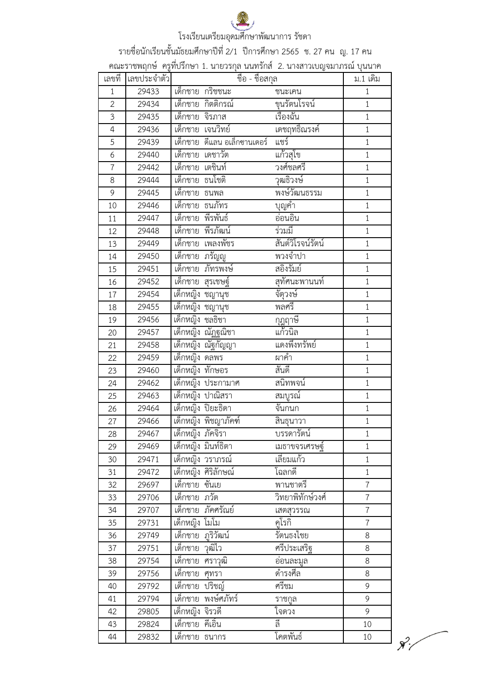รายชื่อนักเรียนชั้นมัธยมศึกษาปีที่ 2/1 ปีการศึกษา 2565 ช. 27 คน ญ. 17 คน

์<br>คณะราชพฤกษ์ ครูที่ปรึกษา 1. นายวรกุล นนทรักส์ 2. นางสาวเบญจมาภรณ์ บุนนาค

| เลขที่         | เลขประจำตัว |                  | ชื่อ - ชื่อสกุล                  |                   | ม.1 เดิม       |
|----------------|-------------|------------------|----------------------------------|-------------------|----------------|
| 1              | 29433       |                  | เด็กชาย กริชชนะ                  | ชนะเคน            | $1\,$          |
| $\overline{2}$ | 29434       |                  | เด็กชาย กิตติกรณ์                | ขุนรัตนโรจน์      | $\mathbf{1}$   |
| 3              | 29435       | เด็กชาย จิรภาส   |                                  | เรื่องฉัน         | $\mathbf{1}$   |
| 4              | 29436       | เด็กชาย          | เจนวิทย์                         | เดชฤทธิ์ณรงค์     | $\mathbf{1}$   |
| 5              | 29439       |                  | เด็กชาย ดีแลน อเล็กซานเดอร์      | แชร์              | $\mathbf{1}$   |
| 6              | 29440       | เด็กชาย          | เดชาวัต                          | แก้วสุโข          | $\mathbf{1}$   |
| $\overline{7}$ | 29442       | เด็กชาย เตชินท์  |                                  | วงศ์ชลศรี         | $\mathbf{1}$   |
| 8              | 29444       | เด็กชาย ธนโชติ   |                                  | วุฒธิวงษ์         | $\mathbf{1}$   |
| 9              | 29445       | เด็กชาย ธนพล     |                                  | พงษ์วัฒนธรรม      | $1\,$          |
| 10             | 29446       | เด็กชาย ธนภัทร   |                                  | บุญคำ             | $\mathbf{1}$   |
| 11             | 29447       | เด็กชาย พีรพันธ์ |                                  | อ่อนอิน           | $\mathbf{1}$   |
| 12             | 29448       |                  | เด็กชาย พีรภัฒน์                 | ร่วมมื            | $\mathbf{1}$   |
| 13             | 29449       |                  | เด็กชาย เพลงพัชร                 | สันต์วิโรจน์รัตน์ | $\mathbf{1}$   |
| 14             | 29450       | เด็กชาย          | กรัญญ                            | พวงจำปา           | $\mathbf{1}$   |
| 15             | 29451       | เด็กชาย          | ภัทรพงษ์                         | สอิ้งรัมย์        | $1\,$          |
| 16             | 29452       | ีเด็กชาย         | สุรเชษฐ์                         | สุทัศนะพานนท์     | $\mathbf{1}$   |
| 17             | 29454       |                  | เด็กหญิง ชญานุช                  | จัตุวงษ์          | $\mathbf{1}$   |
| 18             | 29455       |                  | เด็กหญิง ชญานุช                  | พลศรี             | $\mathbf{1}$   |
| 19             | 29456       | เด็กหญิง ชลธิชา  |                                  | <u>กุ</u> ฎฤาษี   | $\mathbf{1}$   |
| 20             | 29457       |                  | เด็กหญิง ณัฏฐณิชา                | แก้วนิล           | $\mathbf{1}$   |
| 21             | 29458       |                  | เด็กหญิง ณัฐกัญญา                | แดงพึ่งทรัพย์     | $\mathbf{1}$   |
| 22             | 29459       | เด็กหญิง ดลพร    |                                  | ผาคำ              | $\mathbf{1}$   |
| 23             | 29460       | เด็กหญิง ทักษอร  |                                  | สันดี             | $\mathbf{1}$   |
| 24             | 29462       |                  | เด็กหญิง ประกามาศ                | สนิทพจน์          | $\mathbf{1}$   |
| 25             | 29463       |                  | เด็กหญิง ปาณิสรา                 | สมบูรณ์           | $\mathbf{1}$   |
| 26             | 29464       |                  | เด็กหญิง ปิยะธิดา                | จันกนก            | $\mathbf{1}$   |
| 27             | 29466       |                  | เด็กหญิง พิชญาภัคฑ์              | ี<br>สิ้นธุนาวา   | $1\,$          |
| 28             | 29467       | เด็กหญิง ภัคจิรา |                                  | บรรดารัตน์        | $1\,$          |
| 29             | 29469       |                  | เด็กหญิง มินท์ธิตา               | เมธาขจรเศรษฐ์     | $\mathbf{1}$   |
| 30             | 29471       |                  | เด็กหญิง วราภรณ์                 | เลียมแก้ว         | $1\,$          |
| 31             | 29472       |                  | เด็กหญิง <mark>ศิริลักษณ์</mark> | โฉลกดี้           | $\mathbf{1}$   |
| 32             | 29697       | เด็กชาย          | ซันเย                            | พานชาตรี          | $\overline{7}$ |
| 33             | 29706       | เด็กชาย ภวัต     |                                  | วิทยาพิทักษ์วงศ์  | $\overline{7}$ |
| 34             | 29707       | เด็กชาย          | ภัคศรัณย์                        | เสตสุวรรณ         | $\overline{7}$ |
| 35             | 29731       | เด็กหญิง โมโม    |                                  | คโรกิ             | $\overline{7}$ |
| 36             | 29749       | เด็กชาย          | ฏริวัฒน์                         | รัตนธงไชย         | 8              |
| 37             | 29751       | <u>เด็กชาย</u>   | วุฒิไว                           | ศรีประเสริฐ       | 8              |
| 38             | 29754       | เด็กชาย          | ศราวุฒิ                          | ีอ่อนละมูล        | 8              |
| 39             | 29756       | เด็กชาย          | ศุทรา                            | ดำรงศีล           | 8              |
| 40             | 29792       | เด็กชาย          | ปริชญ์                           | ศรีชม             | 9              |
| 41             | 29794       | เด็กชาย          | พงษ์ศภัทร์                       | ราชกูล            | 9              |
| 42             | 29805       | เด็กหญิง จิรวดี  |                                  | ใจดวง             | 9              |
| 43             | 29824       | เด็กชาย          | คีเอิน                           | וֱ                | 10             |
| 44             | 29832       | เด็กชาย          | ธนากร                            | โคตพันธ์          | 10             |

 $\mathcal{R}^2$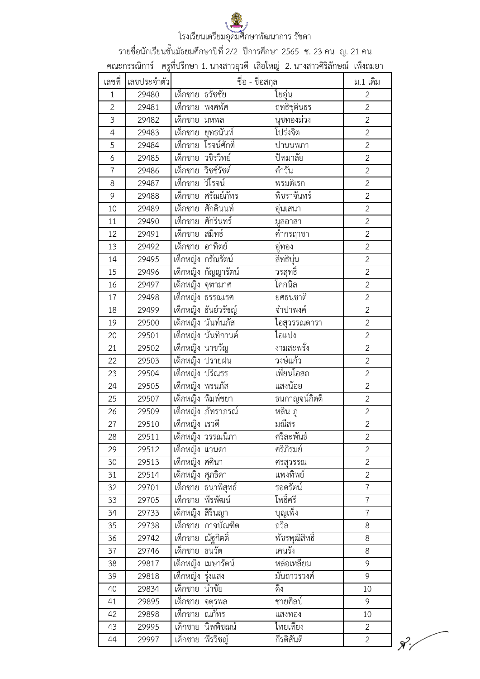รายชื่อนักเรียนชั้นมัธยมศึกษาปีที่ 2/2 ปีการศึกษา 2565 ช. 23 คน ญ. 21 คน

์<br>คณะกรรณิการ์ ครูที่ปรึกษา 1. นางสาวยุวดี เสือใหญ่ 2. นางสาวศิริลักษณ์ เพ็งถมยา

| เลขที่         | เลขประจำตัว |                        | ชื่อ - ชื่อสกุล | ม.1 เดิม       |
|----------------|-------------|------------------------|-----------------|----------------|
| $\mathbf{1}$   | 29480       | เด็กชาย ธวัชชัย        | ใยอุ่น          | $\overline{2}$ |
| $\overline{2}$ | 29481       | เด็กชาย พงศพัศ         | ฤทธิชุตินธร     | $\overline{2}$ |
| 3              | 29482       | เด็กชาย<br>มหพล        | นุชทองม่วง      | $\overline{2}$ |
| $\overline{4}$ | 29483       | ยุทธนันท์<br>เด็กชาย   | โปร่งจิต        | $\overline{2}$ |
| 5              | 29484       | โรจน์ศักดิ์<br>เด็กชาย | ปานนพภา         | $\overline{2}$ |
| 6              | 29485       | เด็กชาย<br>วชิรวิทย์   | ปัทมาลัย        | $\overline{2}$ |
| $\overline{7}$ | 29486       | เด็กชาย<br>วิชช์รัชต์  | คำวัน           | $\overline{2}$ |
| 8              | 29487       | เด็กชาย วิโรจน์        | พรมดิเรก        | $\overline{2}$ |
| 9              | 29488       | ศรัณย์ภัทร<br>เด็กชาย  | พิชราจันทร์     | $\overline{2}$ |
| 10             | 29489       | ศักดินนท์<br>เด็กชาย   | อุ่นเสนา        | $\overline{2}$ |
| 11             | 29490       | เด็กชาย ศักรินทร์      | มูลอาสา         | $\overline{2}$ |
| 12             | 29491       | เด็กชาย<br>สมิทธ์      | <u>คำกรฤาชา</u> | $\overline{2}$ |
| 13             | 29492       | อาทิตย์<br>เด็กชาย     | อู่ทอง          | $\overline{2}$ |
| 14             | 29495       | เด็กหญิง กรัณรัตน์     | สิทธิบุ่น       | $\overline{2}$ |
| 15             | 29496       | เด็กหญิง กัญญารัตน์    | <u>วรสุทธิ์</u> | $\overline{2}$ |
| 16             | 29497       | เด็กหญิง จุฑามาศ       | โคกนิล          | $\overline{2}$ |
| 17             | 29498       | เด็กหญิง ธรรณเรศ       | ยศธนชาติ        | $\overline{2}$ |
| 18             | 29499       | เด็กหญิง ธันย์วรัชญ์   | จำปาพงค์        | $\overline{2}$ |
| 19             | 29500       | เด็กหญิง นันท์นภัส     | ไอสุวรรณดารา    | $\overline{2}$ |
| 20             | 29501       | เด็กหญิง นันทิกานต์    | ไอแปง           | $\overline{2}$ |
| 21             | 29502       | เด็กหญิง นาขวัญ        | งามสะพรัง       | $\overline{2}$ |
| 22             | 29503       | เด็กหญิง ปรายฝน        | วงษ์แก้ว        | $\overline{2}$ |
| 23             | 29504       | เด็กหญิง ปริณธร        | เพี้ยนโอสถ      | $\overline{2}$ |
| 24             | 29505       | เด็กหญิง พรนภัส        | แสงน้อย         | $\overline{2}$ |
| 25             | 29507       | เด็กหญิง พิมพ์ชยา      | ธนกาญจน์กิตติ   | $\overline{2}$ |
| 26             | 29509       | เด็กหญิง ภัทราภรณ์     | หลิน ภู         | $\overline{2}$ |
| 27             | 29510       | เด็กหญิง เรวดี         | มณีสร           | $\overline{2}$ |
| 28             | 29511       | เด็กหญิง วรรณนิภา      | ศรีละพันธั      | 2              |
| 29             | 29512       | ้เด็กหญิง แวนดา        | ศรีภิรมย์       | $\mathbf{2}$   |
| 30             | 29513       | เด็กหญิง ศศินา         | ศรสุวรรณ        | $\overline{2}$ |
| 31             | 29514       | เด็กหญิง ศุภธิดา       | แพงทิพย์        | $\overline{2}$ |
| 32             | 29701       | เด็กชาย ธนาพิสุทธ์     | รอดรัตน์        | $\overline{7}$ |
| 33             | 29705       | พีรพัฒน์<br>เด็กชาย    | โพธิ์ศรี        | $\overline{7}$ |
| 34             | 29733       | ้เด็กหญิง สิรินญา      | บุญเพ็ง         | $\overline{7}$ |
| 35             | 29738       | เด็กชาย กาจบัณฑิต      | ถวิล            | 8              |
| 36             | 29742       | ณัฐกิตติ้<br>เด็กชาย   | พัชรพุฒิสิทธิ์  | 8              |
| 37             | 29746       | ธนวัต<br>เด็กชาย       | เคนรัง          | 8              |
| 38             | 29817       | เด็กหญิง<br>เมษารัตน์  | หล่อเหลี่ยม     | 9              |
| 39             | 29818       | เด็กหญิง รุ่งแสง       | มั่นถาวรวงศ์    | 9              |
| 40             | 29834       | เด็กชาย<br>นำชัย       | ดิง             | 10             |
| 41             | 29895       | เด็กชาย<br>จตุรพล      | ชายศิลป์        | 9              |
| 42             | 29898       | ณภัทร<br>เด็กชาย       | แสงทอง          | 10             |
| 43             | 29995       | เด็กชาย นิพพิชฌน์      | ใทยเที่ยง       | $\mathbf{2}$   |
| 44             | 29997       | พีรวิชญ์<br>เด็กชาย    | กีรติสันติ      | $\mathbf{2}$   |

 $\mathcal{X}'$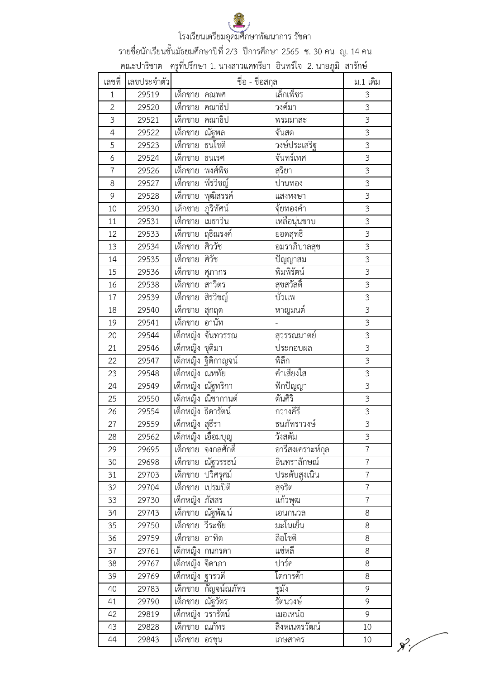รายชื่อนักเรียนชั้นมัธยมศึกษาปีที่ 2/3 ปีการศึกษา 2565 ช. 30 คน ญ. 14 คน

|                |             |                          | คณะปาริชาต   ครูที่ปรึกษา 1. นางสาวแคทรียา  อินทร์ใจ  2. นายภูมิ  สารักษ์ |                |
|----------------|-------------|--------------------------|---------------------------------------------------------------------------|----------------|
| เลขที่         | เลขประจำตัว |                          | ชื่อ - ชื่อสกุล                                                           | ม.1 เดิม       |
| $\mathbf{1}$   | 29519       | เด็กชาย คณพศ             | เล็กเพ็ชร                                                                 | $\mathfrak{Z}$ |
| $\overline{2}$ | 29520       | <u>้เด็กช</u> าย คณาธิป  | วงค์มา                                                                    | 3              |
| 3              | 29521       | เด็กชาย คณาธิป           | พรมมาสะ                                                                   | $\mathfrak{Z}$ |
| 4              | 29522       | เด็กชาย ณัฐพล            | จันสด                                                                     | $\mathfrak{Z}$ |
| 5              | 29523       | <u>เด็กชาย</u> ธนโชติ    | วงษ์ประเสริฐ                                                              | $\mathfrak{Z}$ |
| 6              | 29524       | ี่<br>เด็กชาย ธนเรศ      | จันทร์เทศ                                                                 | $\mathfrak{Z}$ |
| $\overline{7}$ | 29526       | เด็กชาย พงศ์พิช          | สุริยา                                                                    | $\mathfrak{Z}$ |
| 8              | 29527       | เด็กชาย พีรวิชญ์         | ปานทอง                                                                    | $\overline{3}$ |
| 9              | 29528       | เด็กชาย พุฒิสรรค์        | แสงหงษา                                                                   | $\overline{3}$ |
| 10             | 29530       | เด็กชาย ภูริทัศน์        | จุ้ยทองคำ                                                                 | $\overline{3}$ |
| 11             | 29531       | เด็กชาย เมธาวิน          | เหลือนุ่นขาบ                                                              | $\mathfrak{Z}$ |
| 12             | 29533       | เด็กชาย ฤธิณรงค์         | ียอดสุทธิ์<br>อมราภิบาลสุข                                                | $\overline{3}$ |
| 13             | 29534       | เด็กชาย ศิววัช           |                                                                           | $\overline{3}$ |
| 14             | 29535       | เด็กชาย ศิวัช            | ปัญญาสม                                                                   | $\mathfrak{Z}$ |
| 15             | 29536       | <u>เด็ก</u> ชาย ศุภากร   | พิมพิรัตน์                                                                | 3              |
| 16             | 29538       | เด็กชาย สาวิตร           | สุขสวัสดิ์                                                                | $\overline{3}$ |
| 17             | 29539       | เด็กชาย สิรวิชญ์         | บัวแพ                                                                     | $\overline{3}$ |
| 18             | 29540       | <u>เด็กชาย สุกฤต</u>     | หาญมนต์                                                                   | 3              |
| 19             | 29541       | เด็กชาย อานัท            |                                                                           | $\overline{3}$ |
| 20             | 29544       | เด็กหญิง จันทวรรณ        | สุวรรณมาตย์                                                               | 3              |
| 21             | 29546       | เด็กหญิง ชุติมา          | ประกอบผล                                                                  | $\overline{3}$ |
| 22             | 29547       | เด็กหญิง ฐิติกาญจน์      | พิลึก                                                                     | $\overline{3}$ |
| 23             | 29548       | เด็กหญิง ณหทัย           | คำเสียงใส                                                                 | $\mathfrak{Z}$ |
| 24             | 29549       | <u>เด็กหญิง ณัฐทริกา</u> | พีกปัญญา                                                                  | $\overline{3}$ |
| 25             | 29550       | เด็กหญิง ณิชากานต์       | ตันศิริ                                                                   | $\overline{3}$ |
| 26             | 29554       | เด็กหญิง ธิดารัตน์       | กวางคีรี                                                                  | $\mathfrak{Z}$ |
| 27             | 29559       | เด็กหญิง สุธีรา          | ธนภัทราวงษ์                                                               | $\mathfrak{Z}$ |
| 28             | 29562       | เด็กหญิง เอื้อมบุญ       | วังสตัม                                                                   | 3              |
| 29             | 29695       | เด็กชาย จงกลศักดิ์       | อารีสงเคราะห์กุล                                                          | $\overline{7}$ |
| 30             | 29698       | เด็กชาย ณัฐวรรธน์        | อินทราลักษณ์                                                              | $\overline{7}$ |
| 31             | 29703       | <u>เด็กชาย</u> ปวิศรุศม์ | ประดับสูงเนิน                                                             | $\overline{7}$ |
| 32             | 29704       | เด็กชาย เปรมปิติ         | สุจริต                                                                    | $\overline{7}$ |
| 33             | 29730       | เด็กหญิง ภัสสร           | แก้วพุฒ                                                                   | $\overline{7}$ |
| 34             | 29743       | เด็กชาย ณัฐพัฒน์         | เอนกนวล                                                                   | 8              |
| 35             | 29750       | เด็กชาย วีระชัย          | มะโนเย็น                                                                  | 8              |
| 36             | 29759       | เด็กชาย อาทิต            | ลือโชติ                                                                   | 8              |
| 37             | 29761       | ้เด็กหญิง กนกรดา         | แซ่หลี                                                                    | 8              |
| 38             | 29767       | เด็กหญิง จิดาภา          | ปาร์ค                                                                     | $\,8\,$        |
| 39             | 29769       | เด็กหญิง ฐารวดี          | โตการค้า                                                                  | 8              |
| 40             | 29783       | เด็กชาย กัญจน์ณภัทร      | ชูมัง                                                                     | 9              |
| 41             | 29790       | เด็กชาย ณัฐวัตร          | รัตนวงษ์                                                                  | 9              |
| 42             | 29819       | เด็กหญิง วรารัตน์        | เมอเหน๋อ                                                                  | 9              |
| 43             | 29828       | เด็กชาย ณภัทร            | สิงหเนตรวัฒน์                                                             | 10             |
| 44             | 29843       | เด็กชาย อรชุน            | เกษสาคร                                                                   | 10             |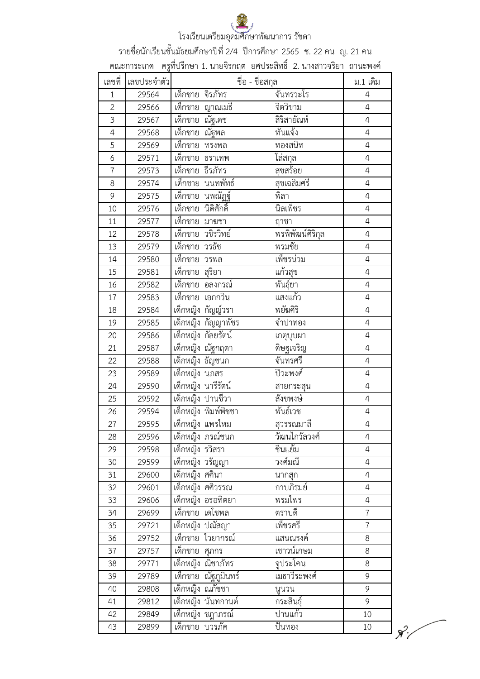รายชื่อนักเรียนชั้นมัธยมศึกษาปีที่ 2/4 ปีการศึกษา 2565 ช. 22 คน ญ. 21 คน

์<br>คณะการะเกด ครูที่ปรึกษา 1. นายจิรกฤต ยศประสิทธิ์ 2. นางสาวจริยา ถานะพงค์

| เลขที่         | เลขประจำตัว |                                | ชื่อ - ชื่อสกุล     | ม.1 เดิม       |
|----------------|-------------|--------------------------------|---------------------|----------------|
| $\mathbf{1}$   | 29564       | เด็กชาย จิรภัทร                | จันทรวะโร           | $\overline{4}$ |
| $\overline{2}$ | 29566       | เด็กชาย<br>ญาณเมธี             | จิตวิขาม            | $\overline{4}$ |
| 3              | 29567       | ณัฐเดช<br>เด็กชาย              | สิริสายัณห์         | $\overline{4}$ |
| $\overline{4}$ | 29568       | ้เด็กชาย<br><u>ณัฐพล</u>       | ทันแจ้ง             | $\overline{4}$ |
| 5              | 29569       | เด็กชาย<br>ทรงพล               | ทองสนิท             | $\overline{4}$ |
| 6              | 29571       | เด็กชาย<br>ธราเทพ              | โล่สกุล<br>สุขสร้อย | $\overline{a}$ |
| $\overline{7}$ | 29573       | ธีรภัทร<br>เด็กชาย             |                     | $\overline{4}$ |
| 8              | 29574       | นนทพัทธ์<br>เด็กชาย            | สุขเฉลิมศรี         | $\overline{4}$ |
| 9              | 29575       | นพณัฏฐ์<br>เด็กชาย             | พิลา                | $\overline{4}$ |
| 10             | 29576       | นิติศักดิ์<br>เด็กชาย          | นิลเพ็ชร            | $\overline{4}$ |
| 11             | 29577       | เด็กชาย มาฆชา                  | ฤาชา                | $\overline{4}$ |
| 12             | 29578       | เด็กชาย วชิรวิทย์              | พรพิพัฒน์ศิริกุล    | $\overline{4}$ |
| 13             | 29579       | เด็กชาย<br>วรธัช               | พรมชัย              | $\overline{4}$ |
| 14             | 29580       | เด็กชาย<br>วรพล                | เพ็ชรน่วม           | $\overline{4}$ |
| 15             | 29581       | เด็กชาย<br>สุริยา              | แก้วสุข             | $\sqrt{4}$     |
| 16             | 29582       | เด็กชาย<br>้อลงกรณ์            | พันธุ์ยา            | $\overline{4}$ |
| 17             | 29583       | เด็กชาย เอกกวิน                | แสงแก้ว             | $\overline{4}$ |
| 18             | 29584       | เด็กหญิง กัญญ์วรา              | พยัฆศิริ            | $\overline{4}$ |
| 19             | 29585       | เด็กหญิง กัญญาพัชร             | จำปาทอง             | $\overline{4}$ |
| 20             | 29586       | เด็กหญิง กัลยรัตน์             | เกตุบุบผา           | $\overline{4}$ |
| 21             | 29587       | เด็กหญิง ณัฐกฤตา               | <u>ดิษฐเจริญ</u>    | $\overline{4}$ |
| 22             | 29588       | เด็กหญิง ธัญชนก                | จันทรศรี            | $\overline{4}$ |
| 23             | 29589       | เด็กหญิง นภสร                  | ปิวะพงศ์            | $\sqrt{4}$     |
| 24             | 29590       | เด็กหญิง นารีรัตน์             | สายกระสุน           | $\overline{4}$ |
| 25             | 29592       | เด็กหญิง ปานชีวา               | สังขพงษ์            | $\overline{4}$ |
| 26             | 29594       | เด็กหญิง พิมพ์พิชชา            | พันธ์เวช            | $\overline{4}$ |
| 27             | 29595       | เด็กหญิง แพรไหม                | <u>สุวรรณมาลี</u>   | $\sqrt{4}$     |
| 28             | 29596       | เด็กหญิง ภรณ์ชนก               | วัฒนไกวัลวงศ์       | $\overline{4}$ |
| 29             | 29598       | ์เด็กหญิง รวิ <mark>สรา</mark> | ชื่นแย้ม            | $\overline{4}$ |
| 30             | 29599       | เด็กหญิง วรัญญา                | วงศ์มณี             | $\overline{4}$ |
| 31             | 29600       | เด็กหญิง ศศินา                 | นากสุก              | 4              |
| 32             | 29601       | เด็กหญิง ศศิวรรณ               | กาบภิรมย์           | $\overline{4}$ |
| 33             | 29606       | เด็กหญิง อรอทิตยา              | พรมไพร              | $\overline{4}$ |
| 34             | 29699       | เด็กชาย เดโชพล                 | ตราบดี              | $\overline{7}$ |
| 35             | 29721       | เด็กหญิง ปณัสญา                | เพ็ชรศรี            | $\overline{7}$ |
| 36             | 29752       | เด็กชาย<br>ไวยากรณ์            | แสนณรงค์            | 8              |
| 37             | 29757       | เด็กชาย<br>ศุภกร               | เชาวน์เกษม          | 8              |
| 38             | 29771       | เด็กหญิง ณิชาภัทร              | จูประโคน            | 8              |
| 39             | 29789       | ณัฐภูมินทร์<br>เด็กชาย         | เมธาวีระพงศ์        | 9              |
| 40             | 29808       | เด็กหญิง ณภัชชา                | นูนวน               | 9              |
| 41             | 29812       | เด็กหญิง นั่นทกานต์            | กระสินธุ์           | 9              |
| 42             | 29849       | เด็กหญิง ชฎาภรณ์               | ปานแก้ว             | 10             |
| 43             | 29899       | เด็กชาย บวรภัค                 | ป็นทอง              | $10\,$         |

 $\chi^2$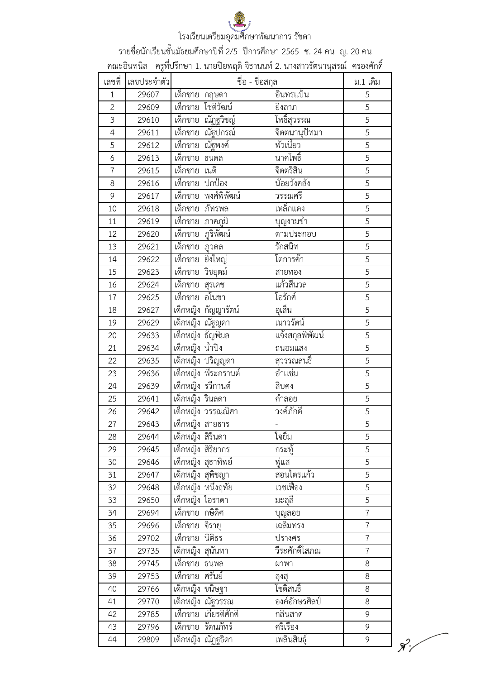รายชื่อนักเรียนชั้นมัธยมศึกษาปีที่ 2/5 ปีการศึกษา 2565 ช. 24 คน ญ. 20 คน

์ คณะอินทนิล ครูที่ปรึกษา 1. นายปิยพฤติ จิธานนท์ 2. นางสาวรัตนานุสรณ์ ครองศักดิ์

| เลขที่         | เลขประจำตัว | ชื่อ - ชื่อสกุล             |                        | ม.1 เดิม       |
|----------------|-------------|-----------------------------|------------------------|----------------|
| $\mathbf{1}$   | 29607       | เด็กชาย กฤษดา               | อินทรแป้น              | 5              |
| $\overline{2}$ | 29609       | โชติวัฒน์<br>เด็กชาย        | ยิงลาภ                 | 5              |
| 3              | 29610       | ณัฏฐวิช <u>ญ</u><br>เด็กชาย | <u>โพธิ์สุวรรณ</u>     | 5              |
| $\overline{4}$ | 29611       | ้เด็กชาย<br>ณัฐปกรณ์        | จิตตนานุปัทมา          | 5              |
| 5              | 29612       | ณัฐพงศ์<br>เด็กชาย          | พัวเนี้ยว              | $\overline{5}$ |
| 6              | 29613       | ้เด็กชาย<br>ธนดล            | นาคโพธิ์               | 5              |
| $\overline{7}$ | 29615       | ้เด็กชาย<br>เนติ            | จิตตรีสิน              | 5              |
| 8              | 29616       | เด็กชาย<br>ปกป้อง           | น้อยวังคลัง            | 5              |
| 9              | 29617       | พงศ์พิพัฒน์<br>เด็กชาย      | วรรณศรี                | 5              |
| 10             | 29618       | ภัทรพล<br>เด็กชาย           | เหล็กแดง               | 5              |
| 11             | 29619       | เด็กชาย<br>ภาคภูมิ          | บุญงามข้า              | 5              |
| 12             | 29620       | ภูริพัฒน์<br>ีเด็กชาย       | ตามประกอบ              | 5              |
| 13             | 29621       | เด็กชาย<br>ภูวดล            | รักสนิท                | $\overline{5}$ |
| 14             | 29622       | เด็กชาย<br>ยิ่งใหญ่         | โตการค้า               | 5              |
| 15             | 29623       | เด็กชาย<br>วิชยุตม์         | สายทอง                 | 5              |
| 16             | 29624       | เด็กชาย<br>สุรเดช           | แก้วสีนวล              | 5              |
| 17             | 29625       | เด็กชาย<br>อโนชา            | โอรักศ์                | 5              |
| 18             | 29627       | เด็กหญิง กัญญารัตน์         | อุเส็น                 | 5              |
| 19             | 29629       | เด็กหญิง ณัฐญดา             | เนาวรัตน์              | 5              |
| 20             | 29633       | เด็กหญิง ธัญพิมล            | <u>แจ้งสกุลพิพัฒน์</u> | 5              |
| 21             | 29634       | เด็กหญิง น้ำปิง             | ถนอมแสง                | 5              |
| 22             | 29635       | เด็กหญิง ปริญญดา            | สุวรรณสนธิ์            | 5              |
| 23             | 29636       | เด็กหญิง พีระกรานต์         | อำแช่ม                 | 5              |
| 24             | 29639       | เด็กหญิง รวีกานต์           | สืบคง                  | 5              |
| 25             | 29641       | เด็กหญิง รินลดา             | คำลอย                  | 5              |
| 26             | 29642       | ้เด็กหญิง วรรณณิศา          | วงค์ภักดี              | $\overline{5}$ |
| 27             | 29643       | เด็กหญิง สายธาร             |                        | 5              |
| 28             | 29644       | เด็กหญิง สิรินดา            | ไจยิม                  | 5              |
| 29             | 29645       | เด็กหญิง สิริยากร           | กระทู้                 | 5              |
| 30             | 29646       | เด็กหญิง สุธาทิพย์          | พู่แส                  | 5              |
| 31             | 29647       | เด็กหญิง สุพิชญา            | สอนไตรแก้ว             | 5              |
| 32             | 29648       | เด็กหญิง หนึ่งฤทัย          | เวชเฟื่อง              | 5              |
| 33             | 29650       | เด็กหญิง ไอราดา             | มะลุลี                 | 5              |
| 34             | 29694       | กษิดิศ<br>เด็กชาย           | บุญลอย                 | $\overline{7}$ |
| 35             | 29696       | เด็กชาย จิรายุ              | เฉลิมทรง               | $\overline{7}$ |
| 36             | 29702       | นิติธร<br>เด็กชาย           | ปรางศร                 | $\overline{7}$ |
| 37             | 29735       | เด็กหญิง สุนันทา            | วีระศักดิ์โสภณ         | $\overline{7}$ |
| 38             | 29745       | เด็กชาย ธนพล                | ผาพา                   | 8              |
| 39             | 29753       | เด็กชาย<br>ศรันย์           | ลุงสุ                  | 8              |
| 40             | 29766       | เด็กหญิง ขนิษฐา             | โชติสนธิ์              | 8              |
| 41             | 29770       | เด็กหญิง ณัฐวรรณ            | ้องค์อักษรศิลป์        | 8              |
| 42             | 29785       | เกียรติศักดิ์<br>เด็กชาย    | กลินสาด                | 9              |
| 43             | 29796       | รัตนภัทร์<br>เด็กชาย        | ศรีเรื่อง              | 9              |
| 44             | 29809       | เด็กหญิง ณัฏฐธิดา           | เพลินสินธุ์            | 9              |

 $\mathcal{R}^2$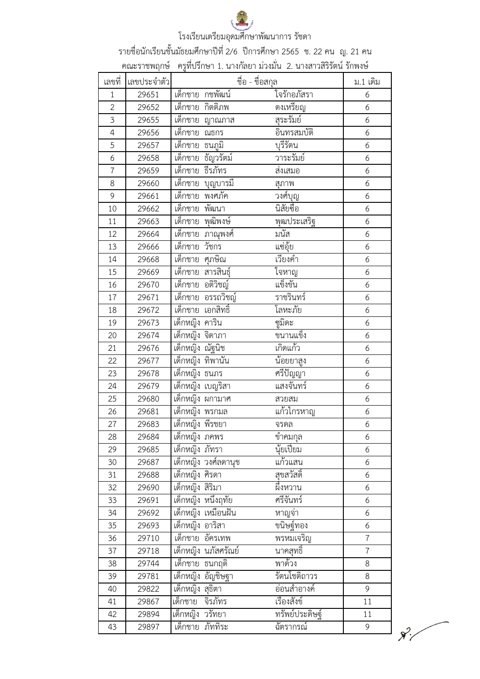รายชื่อนักเรียนชั้นมัธยมศึกษาปีที่ 2/6 ปีการศึกษา 2565 ช. 22 คน ญ. 21 คน

| เลขที่         | เลขประจำตัว | คณะราชพฤกษ์   ครูที่ปรึกษา 1. นางกัลยา ม่วงมั่น  2. นางสาวสิริรัตน์ รักพงษ์ | ชื่อ - ชื่อสกุล  | ม.1 เดิม       |
|----------------|-------------|-----------------------------------------------------------------------------|------------------|----------------|
| $\mathbf{1}$   | 29651       | เด็กชาย กชพัฒน์                                                             | ใจรักอภัสรา      | 6              |
| $\overline{2}$ | 29652       | เด็กชาย กิตติภพ                                                             | ต่งเหรียญ        | 6              |
| $\overline{3}$ | 29655       | ี เด็กชาย  ญาณภาส                                                           | สุระรัมย์        | 6              |
| $\overline{4}$ | 29656       | ้เด็กชาย<br>ณธกร                                                            | อินทรสมบัติ      | 6              |
| 5              | 29657       | ้เด็กชาย<br>ธนภูมิ                                                          | บุรีรัตน         | 6              |
| 6              | 29658       | เด็กชาย ธัญวรัตม์                                                           | วาระรัมย์        | 6              |
| $\overline{7}$ | 29659       | ้เด็กชาย<br>ธีรภัทร                                                         | ส่งเสมอ          | 6              |
| 8              | 29660       | เด็กชาย<br>บุญบารมี                                                         | สุภาพ            | 6              |
| 9              | 29661       | พงศภัค<br>ีเด็กชาย                                                          | วงศ์บุญ          | 6              |
| 10             | 29662       | เด็กชาย พัฒนา                                                               | นิสัยซื่อ        | 6              |
| 11             | 29663       | พุฒิพงษ์<br>เด็กชาย                                                         | พุฒประเสริจ      | 6              |
| 12             | 29664       | เด็กชาย ภาณุพงศ์                                                            | มนัส             | 6              |
| 13             | 29666       | วัชกร<br>เด็กชาย                                                            | แซ่อุ้ย          | 6              |
| 14             | 29668       | เด็กชาย ศุภษิณ                                                              | เวียงคำ          | 6              |
| 15             | 29669       | เด็กชาย สารสินธุ์                                                           | โจหาญ            | 6              |
| 16             | 29670       | เด็กชาย อติวิชญ์                                                            | แข็งขัน          | 6              |
| 17             | 29671       | เด็กชาย อรรถวิชญ์                                                           | ราชรินทร์        | 6              |
| 18             | 29672       | เด็กชาย เอกสิทธิ์                                                           | โลหะภัย          | 6              |
| 19             | 29673       | เด็กหญิง คาริน                                                              | ซูมิดะ           | 6              |
| 20             | 29674       | เด็กหญิง จิดาภา                                                             | ขนานแข็ง         | 6              |
| 21             | 29676       | เด็กหญิง ณัฐนิช                                                             | เกิดแก้ว         | 6              |
| 22             | 29677       | เด็กหญิง ทิพานัน                                                            | <u>น้อยยาสูง</u> | 6              |
| 23             | 29678       | เด็กหญิง ธนภร                                                               | ศรีปัญญา         | 6              |
| 24             | 29679       | เด็กหญิง เบญริสา                                                            | แสงจันทร์        | 6              |
| 25             | 29680       | เด็กหญิง ผกามาศ                                                             | สวยสม            | 6              |
| 26             | 29681       | เด็กหญิง พรกมล                                                              | แก้วไกรหาญ       | 6              |
| 27             | 29683       | เด็กหญิง พีรชยา                                                             | จรดล             | 6              |
| 28             | 29684       | เด็กหญิง ภคพร                                                               | ์ขำคมกุ <u>ล</u> | 6              |
| 29             | 29685       | เด็กหญิง ภัทรา                                                              | นุ้ยเปี้ยม       | 6              |
| 30             | 29687       | เด็กหญิง วงศ์ลดานุช                                                         | แก้วแสน          | 6              |
| 31             | 29688       | เด็กหญิง ศิรดา                                                              | สุขสวัสดิ์       | 6              |
| 32             | 29690       | เด็กหญิง สิริมา                                                             | ผึ้งหวาน         | 6              |
| 33             | 29691       | เด็กหญิง หนึ่งฤทัย                                                          | ศรีจันทร์        | 6              |
| 34             | 29692       | เด็กหญิง เหมือนฝัน                                                          | หาญจ่า           | 6              |
| 35             | 29693       | เด็กหญิง อาริสา                                                             | ขนิษฐ์ทอง        | 6              |
| 36             | 29710       | เด็กชาย อัครเทพ                                                             | พรหมเจริญ        | $\overline{7}$ |
| 37             | 29718       | <u>เด็กหญิ</u> ง นภัสศรัณย์                                                 | นาคสุทธิ์        | $\overline{7}$ |
| 38             | 29744       | เด็กชาย ธนกฤติ                                                              | พาด้วง           | 8              |
| 39             | 29781       | เด็กหญิง อัญชิษฐา                                                           | รัตนโชติถาวร     | 8              |
| 40             | 29822       | เด็กหญิง สุธิตา                                                             | อ่อนสำอางค์      | 9              |
| 41             | 29867       | จิรภัทร<br>เด็กชาย                                                          | เรื่องสังข์      | 11             |
| 42             | 29894       | เด็กหญิง วรัทยา                                                             | ทรัพย์ประดิษฐ์   | 11             |
| 43             | 29897       | เด็กชาย ภัททิระ                                                             | ฉัตรากรณ์        | 9              |

 $\mathcal{R}_i'$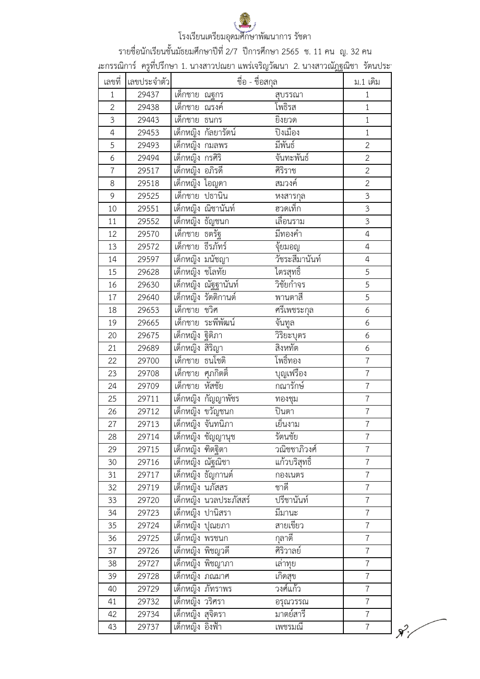รายชื่อนักเรียนชั้นมัธยมศึกษาปีที่ 2/7 ปีการศึกษา 2565 ช. 11 คน ญ. 32 คน

์<br>เะกรรณิการ์ ครูที่ปรึกษา 1. นางสาวปณยา แพร่เจริญวัฒนา 2. นางสาวณัฏฐณิชา รัตนประ'

| เลขที่         | $\frac{9}{2}$<br>เลขประจำตัว |                        | ชื่อ - ชื่อสกุล | <b>PAR</b>     | ม.1 เดิม         |
|----------------|------------------------------|------------------------|-----------------|----------------|------------------|
| $\mathbf{1}$   | 29437                        | ี เด็กชาย ณฐกร         |                 | สบรรณา         | $\mathbf{1}$     |
| $\overline{2}$ | 29438                        | เด็กชาย ณรงค์          |                 | โพธิรส         | $1\,$            |
| $\overline{3}$ | 29443                        | ้เด็กชาย ธนกร          |                 | ยิ่งยวด        | $\,1\,$          |
| 4              | 29453                        | เด็กหญิง กัลยารัตน์    |                 | ปิงเมือง       | $\,1\,$          |
| 5              | 29493                        | เด็กหญิง กมลพร         |                 | มีพันธ์        | $\overline{2}$   |
| 6              | 29494                        | เด็กหญิง กรศิริ        |                 | จันทะพันธ์     | $\overline{2}$   |
| $\overline{7}$ | 29517                        | เด็กหญิง อภิรดี        |                 | ศิริราช        | $\overline{c}$   |
| 8              | 29518                        | เด็กหญิง ไอญดา         |                 | สมวงค์         | $\overline{2}$   |
| 9              | 29525                        | เด็กชาย ปธานิน         |                 | หงสารกุล       | $\mathfrak{Z}$   |
| 10             | 29551                        | เด็กหญิง ณิชานันท์     |                 | ฮวดเท็ก        | $\overline{3}$   |
| 11             | 29552                        | เด็กหญิง ธัญชนก        |                 | เลื่อนราม      | $\overline{3}$   |
| 12             | 29570                        | <u>้เด็กชาย ธตรัฐ</u>  |                 | มีทองคำ        | $\overline{4}$   |
| 13             | 29572                        | เด็กชาย ธีรภัทร์       |                 | จุ้ยมอญ        | $\overline{4}$   |
| 14             | 29597                        | เด็กหญิง มนัชญา        |                 | วัชระสีมานันท์ | $\overline{4}$   |
| 15             | 29628                        | เด็กหญิง ชโลทัย        |                 | ไตรสุทธิ์      | 5                |
| 16             | 29630                        | เด็กหญิง ณัฐฐานันท์    |                 | วิชัยกำจร      | $\overline{5}$   |
| 17             | 29640                        | เด็กหญิง รัตติกานต์    |                 | พานตาสี        | $\overline{5}$   |
| 18             | 29653                        | เด็กชาย ชวิศ           |                 | ศรีเพชระกุล    | 6                |
| 19             | 29665                        | เด็กชาย ระพีพัฒน์      |                 | จันทูล         | 6                |
| 20             | 29675                        | เด็กหญิง ฐิติภา        |                 | วิริยะบุตร     | 6                |
| 21             | 29689                        | เด็กหญิง สิริญา        |                 | สิงหทัต        | 6                |
| 22             | 29700                        | เด็กชาย ธนโชติ         |                 | โพธิ์ทอง       | $\overline{7}$   |
| 23             | 29708                        | เด็กชาย ศุภกิตติ้      |                 | บุญเฟรือง      | $\overline{7}$   |
| 24             | 29709                        | หัสชัย<br>้เด็กชาย     |                 | กณารักษ์       | $\overline{7}$   |
| 25             | 29711                        | เด็กหญิง กัญญาพัชร     |                 | ทองชุม         | $\overline{7}$   |
| 26             | 29712                        | เด็กหญิง ขวัญชนก       |                 | ปินตา          | $\overline{7}$   |
| 27             | 29713                        | เด็กหญิง จันทนิภา      |                 | เย็นงาม        | $\overline{7}$   |
| 28             | 29714                        | เด็กหญิง ชัญญานุช      |                 | รัตนชัย        | $\overline{7}$   |
| 29             | 29715                        | เด็กหญิง ฑิตฐิตา       |                 | วิณิชชาภิวงศ์  | $\overline{7}$   |
| 30             | 29716                        | เด็กหญิง ณัฐณิชา       |                 | แก้วบริสุทธิ์  | $\overline{7}$   |
| 31             | 29717                        | เด็กหญิง ธัญกานต์      |                 | กองเนตร        | $\overline{7}$   |
| 32             | 29719                        | เด็กหญิง นภัสสร        |                 | ชาดี           | $\overline{7}$   |
| 33             | 29720                        | เด็กหญิง นวลประภัสสร์  |                 | ปรีชานันท์     | $\overline{7}$   |
| 34             | 29723                        | เด็กหญิง ปานิสรา       |                 | มีมานะ         | $\overline{7}$   |
| 35             | 29724                        | <u>เด็กหญิง ปุณยภา</u> |                 | สายเขียว       | $\overline{7}$   |
| 36             | 29725                        | เด็กหญิง พรชนก         |                 | กุลาตี         | $\boldsymbol{7}$ |
| 37             | 29726                        | เด็กหญิง พิชญวดี       |                 | ศิริวาลย์      | $\overline{7}$   |
| 38             | 29727                        | เด็กหญิง พิชญาภา       |                 | <u>เล่าทุย</u> | $\overline{7}$   |
| 39             | 29728                        | เด็กหญิง ภณมาศ         |                 | เกิดสุข        | $\overline{7}$   |
| 40             | 29729                        | เด็กหญิง ภัทราพร       |                 | วงศ์แก้ว       | $\overline{7}$   |
| 41             | 29732                        | เด็กหญิง วริศรา        |                 | อรุณวรรณ       | $\overline{7}$   |
| 42             | 29734                        | เด็กหญิง สุจิตรา       |                 | มาตย์สารี      | $\overline{7}$   |
| 43             | 29737                        | เด็กหญิง อิงฟ้า        |                 | เพชรมณี        | $\boldsymbol{7}$ |

 $\chi^2$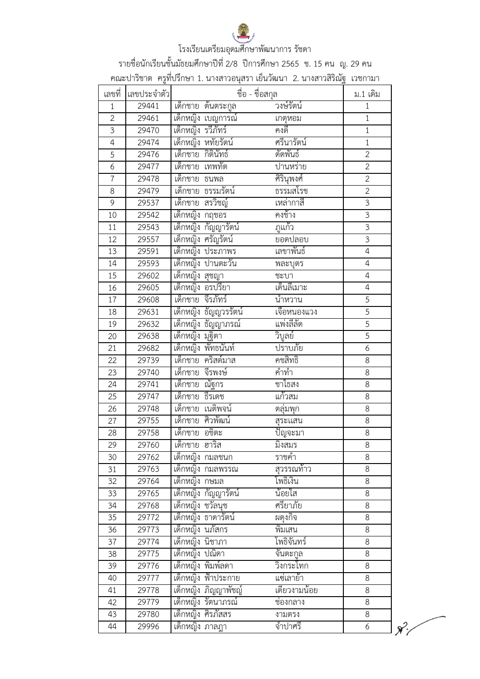

รายชื่อนักเรียนชั้นมัธยมศึกษาปีที่ 2/8 ปีการศึกษา 2565 ช. 15 คน ญ. 29 คน

คณะปาริชาต ครูที่ปรึกษา 1. นางสาวอนุสรา เย็นวัฒนา 2. นางสาวสิริณัฐ เวชกามา

| เลขที่         | เลขประจำตัว |                   | ชื่อ - ชื่อสกุล      |                 | ม.1 เดิม       |  |
|----------------|-------------|-------------------|----------------------|-----------------|----------------|--|
| $\mathbf{1}$   | 29441       |                   | เด็กชาย ต้นตระกูล    | วงษ์รัตน์       | $\mathbf{1}$   |  |
| $\overline{2}$ | 29461       |                   | เด็กหญิง เบญการณ์    | เกตุหอม         | $\mathbf{1}$   |  |
| $\overline{3}$ | 29470       | เด็กหญิง รวีภัทร์ |                      | คงดี            | $\mathbf{1}$   |  |
| $\overline{4}$ | 29474       |                   | เด็กหญิง หทัยรัตน์   | ศรีนารัตน์      | $\mathbf{1}$   |  |
| 5              | 29476       | เด็กชาย กิตินัทธ์ |                      | ดัดพันธ์        | $\overline{2}$ |  |
| 6              | 29477       | เด็กชาย เทพทัต    |                      | ปานหร่าย        | $\overline{2}$ |  |
| $\overline{7}$ | 29478       | ้เด็กชาย ธนพล     |                      | ศิรินุพงศ์      | $\overline{2}$ |  |
| 8              | 29479       |                   | เด็กชาย ธรรมรัตน์    | ธรรมสโรช        | $\overline{2}$ |  |
| 9              | 29537       | เด็กชาย สรวิชญ์   |                      | เหล่ากาสี       | $\overline{3}$ |  |
| 10             | 29542       | เด็กหญิง กฤชอร    |                      | คงช้าง          | $\mathfrak{Z}$ |  |
| 11             | 29543       |                   | เด็กหญิง กัญญารัตน์  | ภูแก้ว          | $\overline{3}$ |  |
| 12             | 29557       |                   | เด็กหญิง ศรัญรัตน์   | ยอดปลอบ         | $\overline{3}$ |  |
| 13             | 29591       |                   | เด็กหญิง ประภาพร     | เลขาพันธ์       | $\overline{4}$ |  |
| 14             | 29593       |                   | เด็กหญิง ปานตะวัน    | พละบุตร         | $\overline{4}$ |  |
| 15             | 29602       | เด็กหญิง สุชญา    |                      | ชะบา            | $\overline{4}$ |  |
| 16             | 29605       |                   | เด็กหญิง อรปรียา     | เด็นลีเมาะ      | 4              |  |
| 17             | 29608       |                   | เด็กชาย จีรภัทร์     | นำหวาน          | 5              |  |
| 18             | 29631       |                   | เด็กหญิง ธัญญวรรัตน์ | เจือหนองแวง     | $\overline{5}$ |  |
| 19             | 29632       |                   | เด็กหญิง ธัญญาภรณ์   | แพ่งลีลัด       | $\overline{5}$ |  |
| 20             | 29638       | เด็กหญิง มุฐิตา   |                      | วิบูลย์         | $\overline{5}$ |  |
| 21             | 29682       |                   | เด็กหญิง พัทธนันท์   | ปราบภัย         | 6              |  |
| 22             | 29739       |                   | เด็กชาย คริสต์มาส    | คชสิทธิ์        | 8              |  |
| 23             | 29740       | เด็กชาย จีรพงษ์   |                      | คำทำ            | 8              |  |
| 24             | 29741       | เด็กชาย ณัฐกร     |                      | ชาไธสง          | 8              |  |
| 25             | 29747       | เด็กชาย ธีรเดช    |                      | แก้วสม          | 8              |  |
| 26             | 29748       |                   | เด็กชาย เนติพจน์     | ตลุ่มพุก        | 8              |  |
| 27             | 29755       |                   | เด็กชาย ศิวพัฒน์     | สุระแสน         | 8              |  |
| 28             | 29758       | เด็กชาย อชิตะ     |                      | <u>ปัญ</u> จะมา | 8              |  |
| 29             | 29760       | เด็กชาย ฮาริส     |                      | มิงสมร          | $\infty$       |  |
| 30             | 29762       |                   | เด็กหญิง กมลชนก      | ราชคำ           | 8              |  |
| 31             | 29763       |                   | เด็กหญิง กมลพรรณ     | สุวรรณท้าว      | 8              |  |
| 32             | 29764       | เด็กหญิง กษมล     |                      | โพธิ์เงิน       | 8              |  |
| 33             | 29765       |                   | เด็กหญิง กัญญารัตน์  | น้อยใส          | 8              |  |
| 34             | 29768       | เด็กหญิง ชวัลนุช  |                      | ศรียาภัย        | 8              |  |
| 35             | 29772       |                   | เด็กหญิง ธาดารัตน์   | ผดุงกิจ         | 8              |  |
| 36             | 29773       | เด็กหญิง นภัสกร   |                      | พิมเสน          | 8              |  |
| 37             | 29774       | เด็กหญิง นิชาภา   |                      | โพธิจันทร์      | 8              |  |
| 38             | 29775       | เด็กหญิง ปณิดา    |                      | จันตะกล         | 8              |  |
| 39             | 29776       |                   | เด็กหญิง พิมพ์ลดา    | วิงกระโทก       | 8              |  |
| 40             | 29777       |                   | เด็กหญิง ฟ้าประกาย   | แซ่เลาย้า       | 8              |  |
| 41             | 29778       |                   | เด็กหญิง ภิญญาพัชญ์  | เดียวงามน้อย    | 8              |  |
| 42             | 29779       |                   | เด็กหญิง รัตนาภรณ์   | ช่องกลาง        | 8              |  |
| 43             | 29780       |                   | เด็กหญิง ศิรภัสสร    | งามตรง          | 8              |  |
| 44             | 29996       | ้เด็กหญิง ภาลฎา   |                      | จำปาศรี         | 6              |  |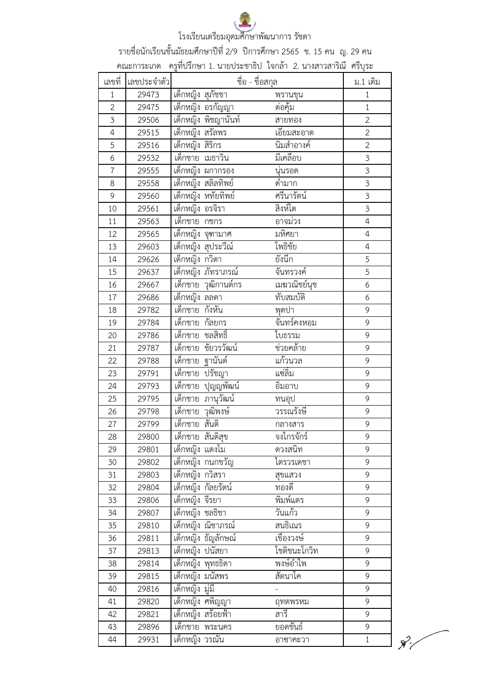

รายชื่อนักเรียนชั้นมัธยมศึกษาปีที่ 2/9 ปีการศึกษา 2565 ช. 15 คน ญ. 29 คน

คณะการะเกด ครูที่ปรึกษา 1. นายประชาธิป ใจกล้า 2. นางสาวสาริณี ศรีบุระ

| เลขที่         | เลขประจำตัว |                              | ชื่อ - ชื่อสกุล          | ม.1 เดิม                |
|----------------|-------------|------------------------------|--------------------------|-------------------------|
| $\mathbf{1}$   | 29473       | เด็กหญิง สุภัชชา             | พรานขุน                  | $1\,$                   |
| $\overline{2}$ | 29475       | ้<br>เด็กหญิง อรกัญญา        | ต่อคุ้ม                  | $\mathbf{1}$            |
| 3              | 29506       | เด็กหญิง พิชญานันท์          | สายทอง                   | $\overline{2}$          |
| 4              | 29515       | เด็กหญิง สรัลพร              | เอี๊ยมสะอาด              | $\overline{2}$          |
| 5              | 29516       | เด็กหญิง สิริกร              | นิ่มสำอางค์              | $\overline{2}$          |
| 6              | 29532       | เด็กชาย เมธาวิน              | มีเคลือบ                 | $\overline{3}$          |
| $\overline{7}$ | 29555       | เด็กหญิง ผกากรอง             | นุ่นรอด                  | $\overline{3}$          |
| 8              | 29558       | เด็กหญิง สลิลทิพย์           | ดำมาก                    | $\overline{3}$          |
| 9              | 29560       | เด็กหญิง หทัยทิพย์           | ศรีนารัตน์               | $\overline{3}$          |
| 10             | 29561       | เด็กหญิง อรจิรา              | สิงห์โต                  | $\overline{\mathbf{3}}$ |
| 11             | 29563       | เด็กชาย กชกร                 | อาจม่วง                  | $\overline{4}$          |
| 12             | 29565       | เด็กหญิง จุฑามาศ             | มหิศยา                   | $\overline{4}$          |
| 13             | 29603       | เด็กหญิง สุประวีณ์           | โพธิชัย                  | $\overline{4}$          |
| 14             | 29626       | เด็กหญิง กวิตา               | ยังนึก                   | 5                       |
| 15             | 29637       | เด็กหญิง ภัทราภรณ์           | จันทรวงค์                | 5                       |
| 16             | 29667       | เด็กชาย วุฒิกานต์กร          | เมฆวณิชย์นุช             | 6                       |
| 17             | 29686       | เด็กหญิง ลลดา                | ทับสมบัติ                | 6                       |
| 18             | 29782       | กังหัน<br>เด็กชาย            | พุดปา                    | 9                       |
| 19             | 29784       | เด็กชาย กัลยกร               | จันทร์คงหอม              | 9                       |
| 20             | 29786       | เด็กชาย<br>ชลสิทธิ์          | ใบธรรม                   | 9                       |
| 21             | 29787       | เด็กชาย<br>ชัยวรวัฒน์        | ช่วยคล้าย                | 9                       |
| 22             | 29788       | ฐานันด์<br><u>เด็กชาย</u>    | แก้วนวล                  | 9                       |
| 23             | 29791       | เด็กชาย<br>ปรัชญา            | แซ่ลิ้ม                  | 9                       |
| 24             | 29793       | <u>บุญญพัฒน์</u><br>้เด็กชาย | อิมอาบ                   | 9                       |
| 25             | 29795       | ภานุวัฒน์<br><u>เด็ก</u> ชาย | ทนอุป                    | 9                       |
| 26             | 29798       | วุฒิพงษ์<br>เด็กชาย          | วรรณรังษี                | 9                       |
| 27             | 29799       | ้เด็กชาย<br>สันติ            | กลางสาร                  | 9                       |
| 28             | 29800       | เด็กชาย สันติสุข             | и உ<br>จงไกรจักร         | 9                       |
| 29             | 29801       | เด็กหญิง แตงโม               | ดวงสนิท                  | 9                       |
| 30             | 29802       | เด็กหญิง กนกขวัญ             | ไตรวรเดชา                | 9                       |
| 31             | 29803       | เด็กหญิง กวิสรา              | สุขแสวง                  | 9                       |
| 32             | 29804       | เด็กหญิง กัลยรัตน์           | ทองดี                    | 9                       |
| 33             | 29806       | เด็กหญิง จีรยา               | พิมพ์แตร                 | 9                       |
| 34             | 29807       | เด็กหญิง ชลธิชา              | วันแก้ว                  | 9                       |
| 35             | 29810       | เด็กหญิง ณิชาภรณ์            | สนธิเณร                  | 9                       |
| 36             | 29811       | เด็กหญิง ธัญลักษณ์           | เชื่องวงษ์               | 9                       |
| 37             | 29813       | ้เด็กหญิง ปนัสยา             | โชติชนะโกวิท             | 9                       |
| 38             | 29814       | เด็กหญิง พุทธธิดา            | พงษ์อำไพ                 | 9                       |
| 39             | 29815       | เด็กหญิง มนัสพร              | สัตนาโค                  | 9                       |
| 40             | 29816       | เด็กหญิง มู่มี่              | $\overline{\phantom{0}}$ | 9                       |
| 41             | 29820       | เด็กหญิง ศพิญญา              | ฤทตพรหม                  | 9                       |
| 42             | 29821       | เด็กหญิง สร้อยฟ้า            | สารี                     | 9                       |
| 43             | 29896       | เด็กชาย พระนคร               | ยอดขันธ์                 | 9                       |
| 44             | 29931       | เด็กหญิง วรณัน               | อาซาคะวา                 | $1\,$                   |

 $\mathcal{R}'$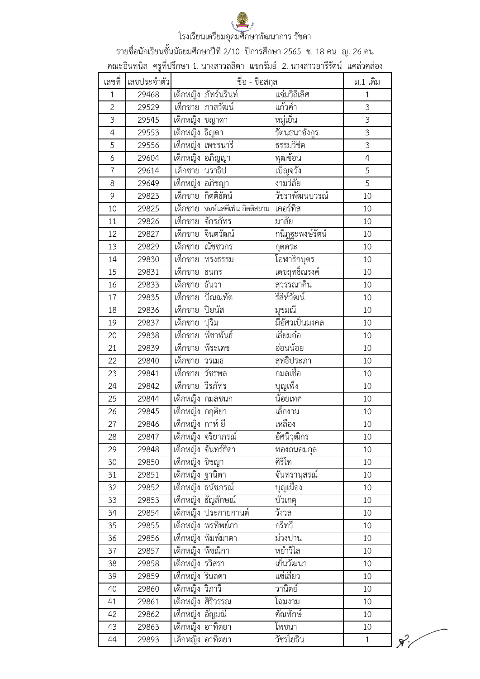รายชื่อนักเรียนชั้นมัธยมศึกษาปีที่ 2/10 ปีการศึกษา 2565 ช. 18 คน ญ. 26 คน

| เลขที่              |                |                                   | คณะอินทนิล ครูที่ปรึกษา 1. นางสาวลลิตา แขกรัมย์ 2. นางสาวอารีรัตน์ แคล่วคล่อง |                            | ม.1 เดิม          |
|---------------------|----------------|-----------------------------------|-------------------------------------------------------------------------------|----------------------------|-------------------|
|                     | เลขประจำตัว    |                                   | ชื่อ - ชื่อสกุล                                                               | แจ่มวิถีเลิศ               |                   |
| $\mathbf{1}$        | 29468          |                                   | เด็กหญิง ภัทร์นรินท์<br>้เด็กชาย ภาสวัฒน์                                     | แก้วคำ                     | $\mathbf{1}$<br>3 |
| $\overline{2}$<br>3 | 29529          |                                   |                                                                               | หมู่เย็น                   | 3                 |
| $\overline{4}$      | 29545          | ้เด็กหญิง ชญาดา<br>เด็กหญิง ธิญดา |                                                                               |                            | 3                 |
| 5                   | 29553          |                                   | เด็กหญิง เพชรนารี                                                             | รัตนธนาอังกูร<br>ธรรมวิชิต | 3                 |
| 6                   | 29556<br>29604 |                                   | เด็กหญิง อภิญญา                                                               | พุฒซ้อน                    | 4                 |
| $\overline{7}$      | 29614          | เด็กชาย นราธิป                    |                                                                               | เบ็ญจวัง                   | 5                 |
| 8                   | 29649          | เด็กหญิง อภิชญา                   |                                                                               | งามวิลัย                   | 5                 |
| 9                   | 29823          |                                   | เด็กชาย กิตติธัตน์                                                            | วัชราพัฒนบวรณ์             | 10                |
|                     |                |                                   | เด็กชาย จอห์นสตีเฟ่น กิตติสยาม เคอร์ทิส                                       |                            |                   |
| 10                  | 29825          |                                   | เด็กชาย จักรภัทร                                                              | มาลัย                      | 10                |
| 11                  | 29826          |                                   |                                                                               |                            | 10                |
| 12                  | 29827          |                                   | เด็กชาย จินตวัฒน์                                                             | กนิฎฐะพงษ์รัตน์            | 10                |
| 13                  | 29829          |                                   | เด็กชาย ณัชชวกร                                                               | กุตตระ                     | 10                |
| 14                  | 29830          |                                   | เด็กชาย ทรงธรรม                                                               | โอฬาริกบุตร                | 10                |
| 15                  | 29831          | ี เด็กชาย ธนกร                    |                                                                               | เดชฤทธิ์ณรงค์              | 10                |
| 16                  | 29833          | เด็กชาย ธันวา                     |                                                                               | สุวรรณาคิน                 | 10                |
| 17                  | 29835          |                                   | เด็กชาย ปัณณทัต                                                               | รีสีห์วัฒน์                | 10                |
| 18                  | 29836          | เด็กชาย ปิยนัส                    |                                                                               | มุขมณี                     | 10                |
| 19                  | 29837          | เด็กชาย ปุริม                     |                                                                               | มีอัศวเป็นมงคล             | 10                |
| 20                  | 29838          |                                   | เด็กชาย พี่ชาพันธ์                                                            | เลี้ยมอ๋อ                  | 10                |
| 21                  | 29839          |                                   | เด็กชาย พีระเดช                                                               | อ่อนน้อย                   | 10                |
| 22                  | 29840          | <u>เด็กชาย</u> วรเมธ              |                                                                               | สุทธิประภา                 | 10                |
| 23                  | 29841          | เด็กชาย วัชรพล                    |                                                                               | กมลเชื้อ                   | 10                |
| 24                  | 29842          | เด็กชาย วีรภัทร                   |                                                                               | บุญเพ็ง                    | 10                |
| 25                  | 29844          |                                   | เด็กหญิง กมลชนก                                                               | น้อยเทศ                    | 10                |
| 26                  | 29845          | <u>เด็กหญิง กฤ</u> ติยา           |                                                                               | เล็กงาม                    | 10                |
| 27                  | 29846          | <u>เด็กหญิง กาห์ ยี</u>           |                                                                               | เหลือง                     | 10                |
| 28                  | 29847          |                                   | เด็กหญิง จริยาภรณ์                                                            | อัศนีวุฒิกร                | 10                |
| 29                  | 29848          |                                   | เด็กหญิง จันทร์ธิดา                                                           | ทองถนอมกุล                 | 10                |
| 30                  | 29850          | เด็กหญิง ชิชญา                    |                                                                               | ศิริโท                     | 10                |
| 31                  | 29851          | เด็กหญิง ฐานิตา                   |                                                                               | จิ๊นทรานุสรณ์              | 10                |
| 32                  | 29852          |                                   | เด็กหญิง ธนัชภรณ์                                                             | บุญเมือง                   | 10                |
| 33                  | 29853          |                                   | เด็กหญิง ธัญลักษณ์                                                            | บัวเกตุ                    | 10                |
| 34                  | 29854          |                                   | เด็กหญิง ประกายกานต์                                                          | วังวล                      | 10                |
| 35                  | 29855          |                                   | เด็กหญิง พรทิพย์ภา                                                            | กรีทวี                     | 10                |
| 36                  | 29856          |                                   | เด็กหญิง พิมพ์มาตา                                                            | ม่วงปาน                    | 10                |
| 37                  | 29857          | เด็กหญิง พืชณิกา                  |                                                                               | หย่ำวิไล                   | 10                |
| 38                  | 29858          | เด็กหญิง รวิสรา                   |                                                                               | เย็นวัฒนา                  | 10                |
| 39                  | 29859          | เด็กหญิง รินลดา                   |                                                                               | แซ่เลี้ยว                  | 10                |
| 40                  | 29860          | เด็กหญิง วิภาวี                   |                                                                               | วานิตย์                    | 10                |
| 41                  | 29861          |                                   | เด็กหญิง ศิริวรรณ                                                             | โฉมงาม                     | 10                |
| 42                  | 29862          | เด็กหญิง อัญมณี                   |                                                                               | คัณทักษ์                   | 10                |
|                     |                |                                   | เด็กหญิง อาทิตยา                                                              | โพชนา                      | 10                |
| 43                  | 29863          |                                   |                                                                               |                            |                   |